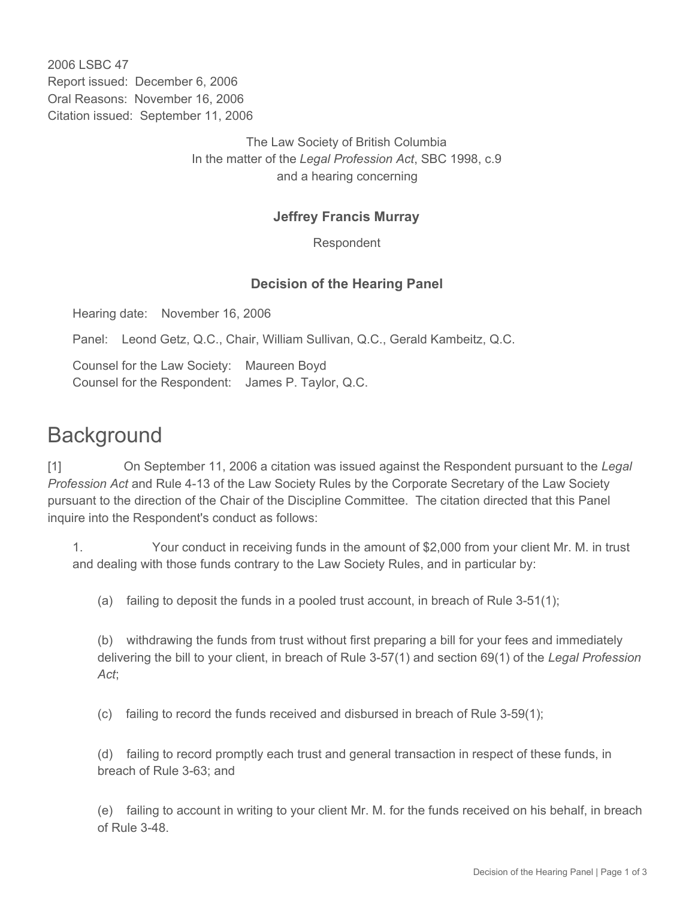2006 LSBC 47 Report issued: December 6, 2006 Oral Reasons: November 16, 2006 Citation issued: September 11, 2006

> The Law Society of British Columbia In the matter of the *Legal Profession Act*, SBC 1998, c.9 and a hearing concerning

## **Jeffrey Francis Murray**

Respondent

## **Decision of the Hearing Panel**

Hearing date: November 16, 2006

Panel: Leond Getz, Q.C., Chair, William Sullivan, Q.C., Gerald Kambeitz, Q.C.

Counsel for the Law Society: Maureen Boyd Counsel for the Respondent: James P. Taylor, Q.C.

## **Background**

[1] On September 11, 2006 a citation was issued against the Respondent pursuant to the *Legal Profession Act* and Rule 4-13 of the Law Society Rules by the Corporate Secretary of the Law Society pursuant to the direction of the Chair of the Discipline Committee. The citation directed that this Panel inquire into the Respondent's conduct as follows:

1. Your conduct in receiving funds in the amount of \$2,000 from your client Mr. M. in trust and dealing with those funds contrary to the Law Society Rules, and in particular by:

(a) failing to deposit the funds in a pooled trust account, in breach of Rule 3-51(1);

(b) withdrawing the funds from trust without first preparing a bill for your fees and immediately delivering the bill to your client, in breach of Rule 3-57(1) and section 69(1) of the *Legal Profession Act*;

(c) failing to record the funds received and disbursed in breach of Rule 3-59(1);

(d) failing to record promptly each trust and general transaction in respect of these funds, in breach of Rule 3-63; and

(e) failing to account in writing to your client Mr. M. for the funds received on his behalf, in breach of Rule 3-48.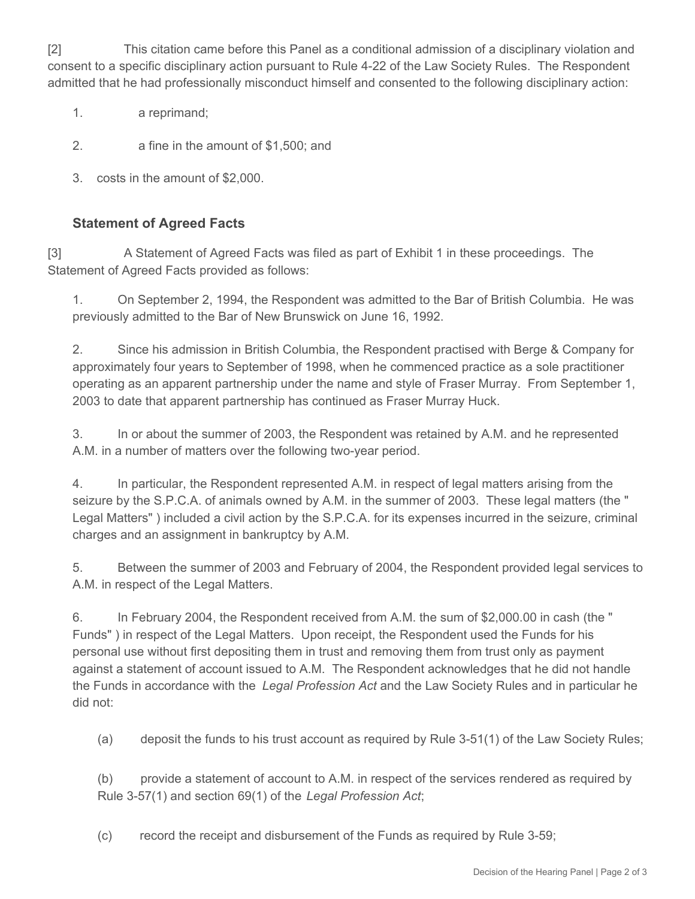[2] This citation came before this Panel as a conditional admission of a disciplinary violation and consent to a specific disciplinary action pursuant to Rule 4-22 of the Law Society Rules. The Respondent admitted that he had professionally misconduct himself and consented to the following disciplinary action:

- 1. a reprimand;
- 2. a fine in the amount of \$1,500; and
- 3. costs in the amount of \$2,000.

## **Statement of Agreed Facts**

[3] A Statement of Agreed Facts was filed as part of Exhibit 1 in these proceedings. The Statement of Agreed Facts provided as follows:

1. On September 2, 1994, the Respondent was admitted to the Bar of British Columbia. He was previously admitted to the Bar of New Brunswick on June 16, 1992.

2. Since his admission in British Columbia, the Respondent practised with Berge & Company for approximately four years to September of 1998, when he commenced practice as a sole practitioner operating as an apparent partnership under the name and style of Fraser Murray. From September 1, 2003 to date that apparent partnership has continued as Fraser Murray Huck.

3. In or about the summer of 2003, the Respondent was retained by A.M. and he represented A.M. in a number of matters over the following two-year period.

4. In particular, the Respondent represented A.M. in respect of legal matters arising from the seizure by the S.P.C.A. of animals owned by A.M. in the summer of 2003. These legal matters (the " Legal Matters" ) included a civil action by the S.P.C.A. for its expenses incurred in the seizure, criminal charges and an assignment in bankruptcy by A.M.

5. Between the summer of 2003 and February of 2004, the Respondent provided legal services to A.M. in respect of the Legal Matters.

6. In February 2004, the Respondent received from A.M. the sum of \$2,000.00 in cash (the " Funds" ) in respect of the Legal Matters. Upon receipt, the Respondent used the Funds for his personal use without first depositing them in trust and removing them from trust only as payment against a statement of account issued to A.M. The Respondent acknowledges that he did not handle the Funds in accordance with the *Legal Profession Act* and the Law Society Rules and in particular he did not:

(a) deposit the funds to his trust account as required by Rule 3-51(1) of the Law Society Rules;

(b) provide a statement of account to A.M. in respect of the services rendered as required by Rule 3-57(1) and section 69(1) of the *Legal Profession Act*;

(c) record the receipt and disbursement of the Funds as required by Rule 3-59;